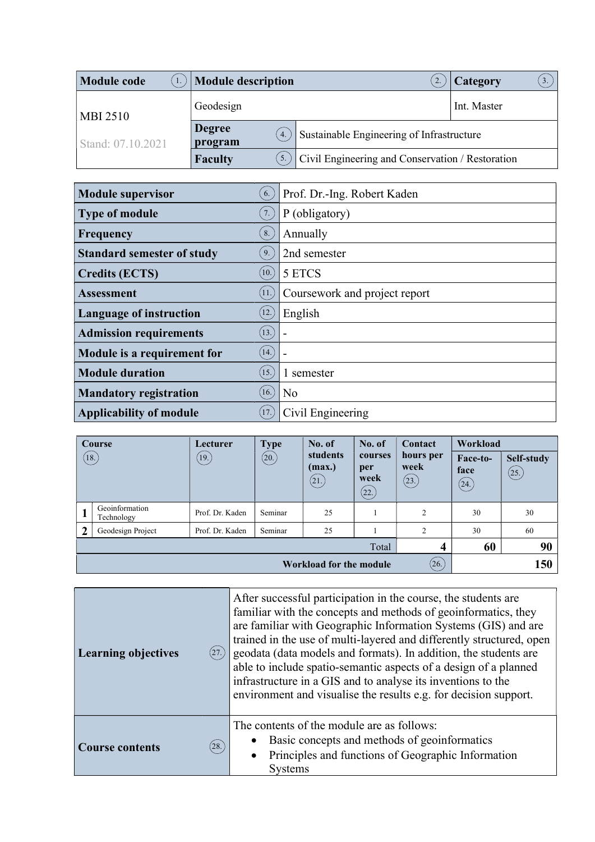| <b>Module code</b> | <b>Module description</b>                    |                                                  | Category<br>3. |
|--------------------|----------------------------------------------|--------------------------------------------------|----------------|
| <b>MBI 2510</b>    | Geodesign                                    |                                                  | Int. Master    |
| Stand: 07.10.2021  | <b>Degree</b><br>$\overline{4}$ .<br>program | Sustainable Engineering of Infrastructure        |                |
|                    | <b>Faculty</b>                               | Civil Engineering and Conservation / Restoration |                |

| <b>Module supervisor</b>          | 6.                 | Prof. Dr.-Ing. Robert Kaden   |
|-----------------------------------|--------------------|-------------------------------|
| <b>Type of module</b>             | 7.                 | P (obligatory)                |
| Frequency                         | 8.                 | Annually                      |
| <b>Standard semester of study</b> | 9.                 | 2nd semester                  |
| <b>Credits (ECTS)</b>             | (10.)              | 5 ETCS                        |
| <b>Assessment</b>                 | (11)               | Coursework and project report |
| <b>Language of instruction</b>    | 12.                | English                       |
| <b>Admission requirements</b>     | (13.)              |                               |
| Module is a requirement for       | (14.)              |                               |
| <b>Module duration</b>            | $\left(15.\right)$ | 1 semester                    |
| <b>Mandatory registration</b>     | 16.                | N <sub>o</sub>                |
| <b>Applicability of module</b>    | 17.                | Civil Engineering             |

| <b>Course</b>  |                                         | Lecturer        | <b>Type</b>          | No. of                      | No. of                         | Contact                    | Workload                 |                    |
|----------------|-----------------------------------------|-----------------|----------------------|-----------------------------|--------------------------------|----------------------------|--------------------------|--------------------|
|                | $\left(18.\right)$                      | (19.)           | $\left( 20. \right)$ | students<br>(max.)<br>(21.) | courses<br>per<br>week<br>(22. | hours per<br>week<br>(23.) | Face-to-<br>face<br>(24) | Self-study<br>(25) |
| л              | Geoinformation<br>Technology            | Prof. Dr. Kaden | Seminar              | 25                          |                                | 2                          | 30                       | 30                 |
| $\overline{2}$ | Geodesign Project                       | Prof. Dr. Kaden | Seminar              | 25                          |                                | 2                          | 30                       | 60                 |
|                |                                         |                 |                      |                             | Total                          | 4                          | 60                       | 90                 |
|                | (26.)<br>150<br>Workload for the module |                 |                      |                             |                                |                            |                          |                    |

| <b>Learning objectives</b><br>(27.) | After successful participation in the course, the students are<br>familiar with the concepts and methods of geoinformatics, they<br>are familiar with Geographic Information Systems (GIS) and are<br>trained in the use of multi-layered and differently structured, open<br>geodata (data models and formats). In addition, the students are<br>able to include spatio-semantic aspects of a design of a planned<br>infrastructure in a GIS and to analyse its inventions to the<br>environment and visualise the results e.g. for decision support. |  |  |
|-------------------------------------|--------------------------------------------------------------------------------------------------------------------------------------------------------------------------------------------------------------------------------------------------------------------------------------------------------------------------------------------------------------------------------------------------------------------------------------------------------------------------------------------------------------------------------------------------------|--|--|
| (28.)<br><b>Course contents</b>     | The contents of the module are as follows:<br>Basic concepts and methods of geoinformatics<br>Principles and functions of Geographic Information<br>$\bullet$<br><b>Systems</b>                                                                                                                                                                                                                                                                                                                                                                        |  |  |